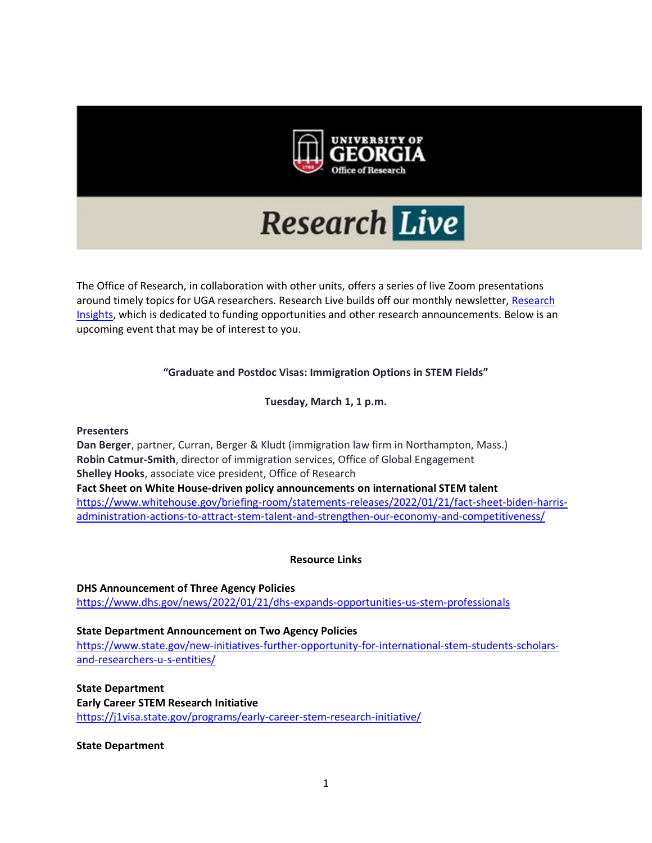

# **Research Live**

The Office of Research, in collaboration with other units, offers a series of live Zoom presentations around timely topics for UGA researchers. Research Live builds off our monthly newsletter, [Research](https://research.uga.edu/research-insights/newsletter/)  [Insights,](https://research.uga.edu/research-insights/newsletter/) which is dedicated to funding opportunities and other research announcements. Below is an upcoming event that may be of interest to you.

# **"Graduate and Postdoc Visas: Immigration Options in STEM Fields"**

**Tuesday, March 1, 1 p.m.**

**Presenters**

**Dan Berger**, partner, Curran, Berger & Kludt (immigration law firm in Northampton, Mass.) **Robin Catmur-Smith**, director of immigration services, Office of Global Engagement **Shelley Hooks**, associate vice president, Office of Research **Fact Sheet on White House-driven policy announcements on international STEM talent** [https://www.whitehouse.gov/briefing-room/statements-releases/2022/01/21/fact-sheet-biden-harris](https://www.whitehouse.gov/briefing-room/statements-releases/2022/01/21/fact-sheet-biden-harris-administration-actions-to-attract-stem-talent-and-strengthen-our-economy-and-competitiveness/)[administration-actions-to-attract-stem-talent-and-strengthen-our-economy-and-competitiveness/](https://www.whitehouse.gov/briefing-room/statements-releases/2022/01/21/fact-sheet-biden-harris-administration-actions-to-attract-stem-talent-and-strengthen-our-economy-and-competitiveness/) 

**Resource Links**

**DHS Announcement of Three Agency Policies** <https://www.dhs.gov/news/2022/01/21/dhs-expands-opportunities-us-stem-professionals>

#### **State Department Announcement on Two Agency Policies**

[https://www.state.gov/new-initiatives-further-opportunity-for-international-stem-students-scholars](https://www.state.gov/new-initiatives-further-opportunity-for-international-stem-students-scholars-and-researchers-u-s-entities/)[and-researchers-u-s-entities/](https://www.state.gov/new-initiatives-further-opportunity-for-international-stem-students-scholars-and-researchers-u-s-entities/)

**State Department Early Career STEM Research Initiative** <https://j1visa.state.gov/programs/early-career-stem-research-initiative/>

**State Department**